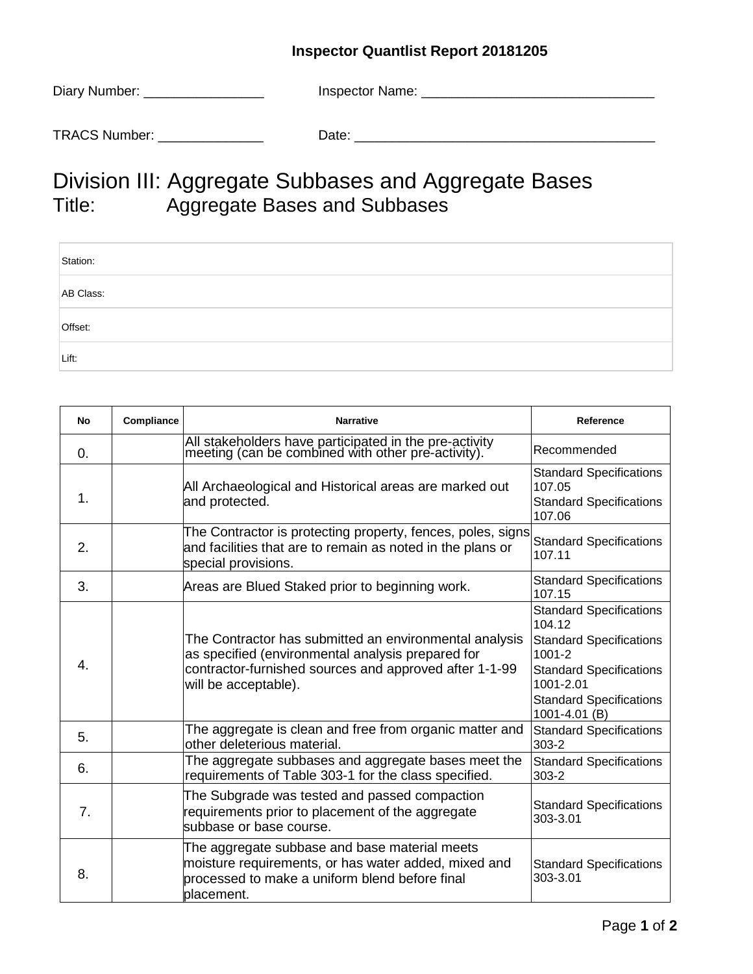## **Inspector Quantlist Report 20181205**

| Diary Number: | Inspector Name: |  |
|---------------|-----------------|--|
|               |                 |  |
| TRACS Number: | Date:           |  |

## Division III: Aggregate Subbases and Aggregate Bases<br>Title: Aggregate Bases and Subbases Aggregate Bases and Subbases

| Station:  |  |
|-----------|--|
| AB Class: |  |
| Offset:   |  |
| Lift:     |  |

| No               | Compliance | <b>Narrative</b>                                                                                                                                                                              | Reference                                                                                                                                                                                  |
|------------------|------------|-----------------------------------------------------------------------------------------------------------------------------------------------------------------------------------------------|--------------------------------------------------------------------------------------------------------------------------------------------------------------------------------------------|
| 0.               |            | All stakeholders have participated in the pre-activity<br>meeting (can be combined with other pre-activity).                                                                                  | Recommended                                                                                                                                                                                |
| 1.               |            | All Archaeological and Historical areas are marked out<br>and protected.                                                                                                                      | <b>Standard Specifications</b><br>107.05<br><b>Standard Specifications</b><br>107.06                                                                                                       |
| 2.               |            | The Contractor is protecting property, fences, poles, signs<br>and facilities that are to remain as noted in the plans or<br>special provisions.                                              | <b>Standard Specifications</b><br>107.11                                                                                                                                                   |
| 3.               |            | Areas are Blued Staked prior to beginning work.                                                                                                                                               | <b>Standard Specifications</b><br>107.15                                                                                                                                                   |
| $\overline{4}$ . |            | The Contractor has submitted an environmental analysis<br>as specified (environmental analysis prepared for<br>contractor-furnished sources and approved after 1-1-99<br>will be acceptable). | <b>Standard Specifications</b><br>104.12<br><b>Standard Specifications</b><br>$1001 - 2$<br><b>Standard Specifications</b><br>1001-2.01<br><b>Standard Specifications</b><br>1001-4.01 (B) |
| 5.               |            | The aggregate is clean and free from organic matter and<br>other deleterious material.                                                                                                        | <b>Standard Specifications</b><br>$303 - 2$                                                                                                                                                |
| 6.               |            | The aggregate subbases and aggregate bases meet the<br>requirements of Table 303-1 for the class specified.                                                                                   | <b>Standard Specifications</b><br>$303 - 2$                                                                                                                                                |
| 7.               |            | The Subgrade was tested and passed compaction<br>requirements prior to placement of the aggregate<br>subbase or base course.                                                                  | <b>Standard Specifications</b><br>303-3.01                                                                                                                                                 |
| 8.               |            | The aggregate subbase and base material meets<br>moisture requirements, or has water added, mixed and<br>processed to make a uniform blend before final<br>placement.                         | <b>Standard Specifications</b><br>303-3.01                                                                                                                                                 |